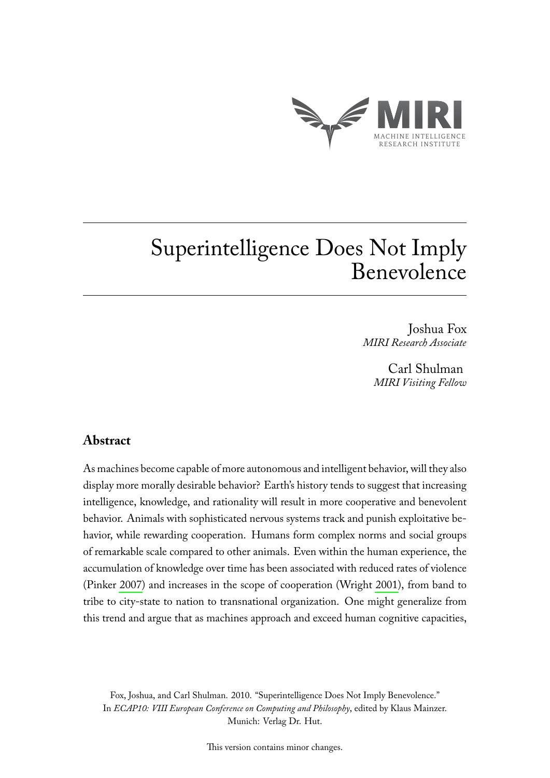

# Superintelligence Does Not Imply Benevolence

Joshua Fox *MIRI Research Associate*

> Carl Shulman *MIRI Visiting Fellow*

## **Abstract**

As machines become capable of more autonomous and intelligent behavior, will they also display more morally desirable behavior? Earth's history tends to suggest that increasing intelligence, knowledge, and rationality will result in more cooperative and benevolent behavior. Animals with sophisticated nervous systems track and punish exploitative behavior, while rewarding cooperation. Humans form complex norms and social groups of remarkable scale compared to other animals. Even within the human experience, the accumulation of knowledge over time has been associated with reduced rates of violence (Pinker [2007\)](#page-6-0) and increases in the scope of cooperation (Wright [2001\)](#page-6-1), from band to tribe to city-state to nation to transnational organization. One might generalize from this trend and argue that as machines approach and exceed human cognitive capacities,

Fox, Joshua, and Carl Shulman. 2010. "Superintelligence Does Not Imply Benevolence." In *ECAP10: VIII European Conference on Computing and Philosophy*, edited by Klaus Mainzer. Munich: Verlag Dr. Hut.

This version contains minor changes.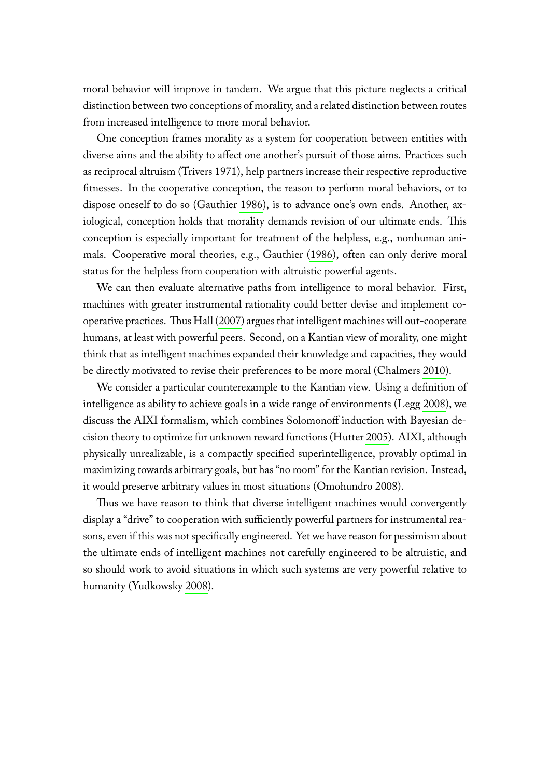moral behavior will improve in tandem. We argue that this picture neglects a critical distinction between two conceptions of morality, and a related distinction between routes from increased intelligence to more moral behavior.

One conception frames morality as a system for cooperation between entities with diverse aims and the ability to affect one another's pursuit of those aims. Practices such as reciprocal altruism (Trivers [1971\)](#page-6-2), help partners increase their respective reproductive fitnesses. In the cooperative conception, the reason to perform moral behaviors, or to dispose oneself to do so (Gauthier [1986\)](#page-6-3), is to advance one's own ends. Another, axiological, conception holds that morality demands revision of our ultimate ends. This conception is especially important for treatment of the helpless, e.g., nonhuman animals. Cooperative moral theories, e.g., Gauthier [\(1986\)](#page-6-3), often can only derive moral status for the helpless from cooperation with altruistic powerful agents.

We can then evaluate alternative paths from intelligence to moral behavior. First, machines with greater instrumental rationality could better devise and implement cooperative practices. Thus Hall [\(2007\)](#page-6-4) argues that intelligent machines will out-cooperate humans, at least with powerful peers. Second, on a Kantian view of morality, one might think that as intelligent machines expanded their knowledge and capacities, they would be directly motivated to revise their preferences to be more moral (Chalmers [2010\)](#page-6-5).

We consider a particular counterexample to the Kantian view. Using a definition of intelligence as ability to achieve goals in a wide range of environments (Legg [2008\)](#page-6-6), we discuss the AIXI formalism, which combines Solomonoff induction with Bayesian decision theory to optimize for unknown reward functions (Hutter [2005\)](#page-6-7). AIXI, although physically unrealizable, is a compactly specified superintelligence, provably optimal in maximizing towards arbitrary goals, but has "no room" for the Kantian revision. Instead, it would preserve arbitrary values in most situations (Omohundro [2008\)](#page-6-8).

Thus we have reason to think that diverse intelligent machines would convergently display a "drive" to cooperation with sufficiently powerful partners for instrumental reasons, even if this was not specifically engineered. Yet we have reason for pessimism about the ultimate ends of intelligent machines not carefully engineered to be altruistic, and so should work to avoid situations in which such systems are very powerful relative to humanity (Yudkowsky [2008\)](#page-6-9).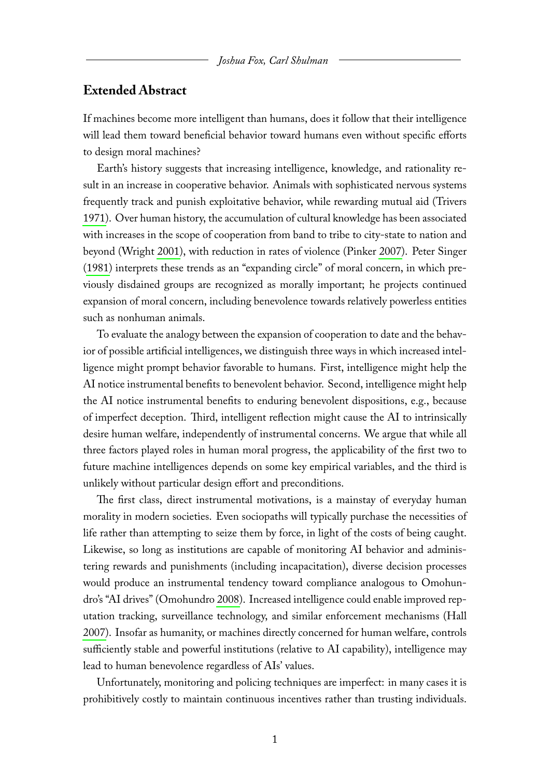### **Extended Abstract**

If machines become more intelligent than humans, does it follow that their intelligence will lead them toward beneficial behavior toward humans even without specific efforts to design moral machines?

Earth's history suggests that increasing intelligence, knowledge, and rationality result in an increase in cooperative behavior. Animals with sophisticated nervous systems frequently track and punish exploitative behavior, while rewarding mutual aid (Trivers [1971\)](#page-6-2). Over human history, the accumulation of cultural knowledge has been associated with increases in the scope of cooperation from band to tribe to city-state to nation and beyond (Wright [2001\)](#page-6-1), with reduction in rates of violence (Pinker [2007\)](#page-6-0). Peter Singer [\(1981\)](#page-6-10) interprets these trends as an "expanding circle" of moral concern, in which previously disdained groups are recognized as morally important; he projects continued expansion of moral concern, including benevolence towards relatively powerless entities such as nonhuman animals.

To evaluate the analogy between the expansion of cooperation to date and the behavior of possible artificial intelligences, we distinguish three ways in which increased intelligence might prompt behavior favorable to humans. First, intelligence might help the AI notice instrumental benefits to benevolent behavior. Second, intelligence might help the AI notice instrumental benefits to enduring benevolent dispositions, e.g., because of imperfect deception. Third, intelligent reflection might cause the AI to intrinsically desire human welfare, independently of instrumental concerns. We argue that while all three factors played roles in human moral progress, the applicability of the first two to future machine intelligences depends on some key empirical variables, and the third is unlikely without particular design effort and preconditions.

The first class, direct instrumental motivations, is a mainstay of everyday human morality in modern societies. Even sociopaths will typically purchase the necessities of life rather than attempting to seize them by force, in light of the costs of being caught. Likewise, so long as institutions are capable of monitoring AI behavior and administering rewards and punishments (including incapacitation), diverse decision processes would produce an instrumental tendency toward compliance analogous to Omohundro's "AI drives" (Omohundro [2008\)](#page-6-8). Increased intelligence could enable improved reputation tracking, surveillance technology, and similar enforcement mechanisms (Hall [2007\)](#page-6-4). Insofar as humanity, or machines directly concerned for human welfare, controls sufficiently stable and powerful institutions (relative to AI capability), intelligence may lead to human benevolence regardless of AIs' values.

Unfortunately, monitoring and policing techniques are imperfect: in many cases it is prohibitively costly to maintain continuous incentives rather than trusting individuals.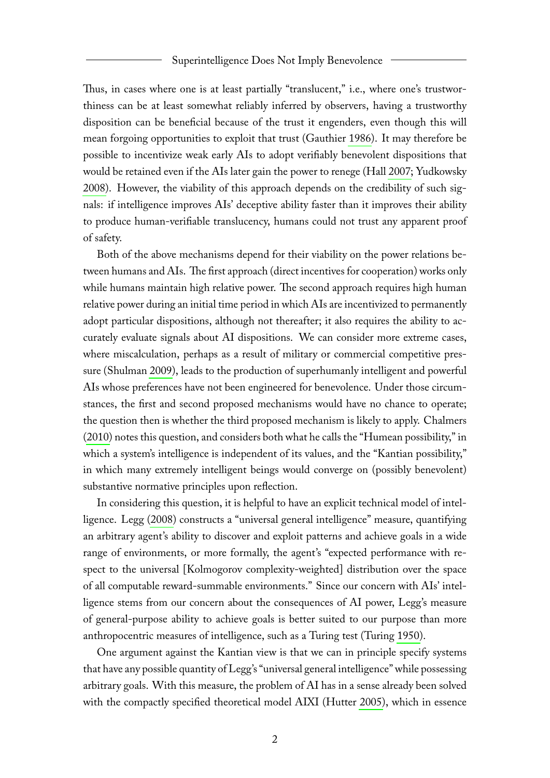Thus, in cases where one is at least partially "translucent," i.e., where one's trustworthiness can be at least somewhat reliably inferred by observers, having a trustworthy disposition can be beneficial because of the trust it engenders, even though this will mean forgoing opportunities to exploit that trust (Gauthier [1986\)](#page-6-3). It may therefore be possible to incentivize weak early AIs to adopt verifiably benevolent dispositions that would be retained even if the AIs later gain the power to renege (Hall [2007;](#page-6-4) Yudkowsky [2008\)](#page-6-9). However, the viability of this approach depends on the credibility of such signals: if intelligence improves AIs' deceptive ability faster than it improves their ability to produce human-verifiable translucency, humans could not trust any apparent proof of safety.

Both of the above mechanisms depend for their viability on the power relations between humans and AIs. The first approach (direct incentives for cooperation) works only while humans maintain high relative power. The second approach requires high human relative power during an initial time period in which AIs are incentivized to permanently adopt particular dispositions, although not thereafter; it also requires the ability to accurately evaluate signals about AI dispositions. We can consider more extreme cases, where miscalculation, perhaps as a result of military or commercial competitive pressure (Shulman [2009\)](#page-6-11), leads to the production of superhumanly intelligent and powerful AIs whose preferences have not been engineered for benevolence. Under those circumstances, the first and second proposed mechanisms would have no chance to operate; the question then is whether the third proposed mechanism is likely to apply. Chalmers [\(2010\)](#page-6-5) notes this question, and considers both what he calls the "Humean possibility," in which a system's intelligence is independent of its values, and the "Kantian possibility," in which many extremely intelligent beings would converge on (possibly benevolent) substantive normative principles upon reflection.

In considering this question, it is helpful to have an explicit technical model of intelligence. Legg [\(2008\)](#page-6-6) constructs a "universal general intelligence" measure, quantifying an arbitrary agent's ability to discover and exploit patterns and achieve goals in a wide range of environments, or more formally, the agent's "expected performance with respect to the universal [Kolmogorov complexity-weighted] distribution over the space of all computable reward-summable environments." Since our concern with AIs' intelligence stems from our concern about the consequences of AI power, Legg's measure of general-purpose ability to achieve goals is better suited to our purpose than more anthropocentric measures of intelligence, such as a Turing test (Turing [1950\)](#page-6-12).

One argument against the Kantian view is that we can in principle specify systems that have any possible quantity of Legg's "universal general intelligence" while possessing arbitrary goals. With this measure, the problem of AI has in a sense already been solved with the compactly specified theoretical model AIXI (Hutter [2005\)](#page-6-7), which in essence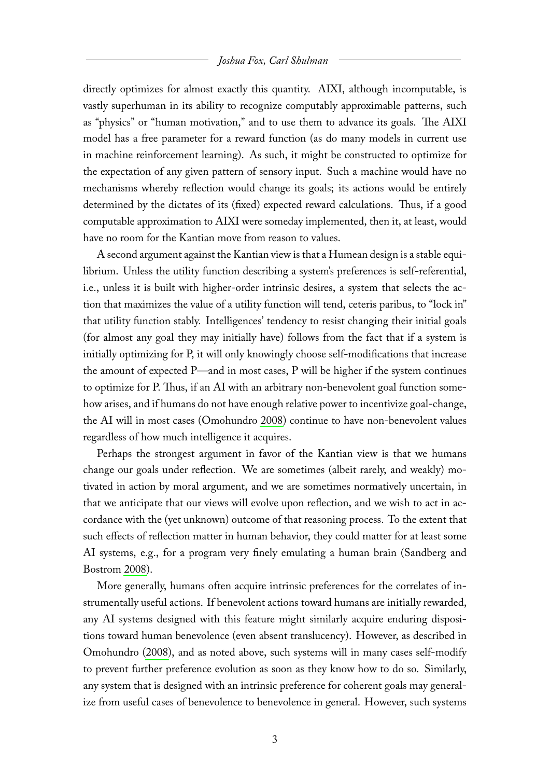directly optimizes for almost exactly this quantity. AIXI, although incomputable, is vastly superhuman in its ability to recognize computably approximable patterns, such as "physics" or "human motivation," and to use them to advance its goals. The AIXI model has a free parameter for a reward function (as do many models in current use in machine reinforcement learning). As such, it might be constructed to optimize for the expectation of any given pattern of sensory input. Such a machine would have no mechanisms whereby reflection would change its goals; its actions would be entirely determined by the dictates of its (fixed) expected reward calculations. Thus, if a good computable approximation to AIXI were someday implemented, then it, at least, would have no room for the Kantian move from reason to values.

A second argument against the Kantian view is that a Humean design is a stable equilibrium. Unless the utility function describing a system's preferences is self-referential, i.e., unless it is built with higher-order intrinsic desires, a system that selects the action that maximizes the value of a utility function will tend, ceteris paribus, to "lock in" that utility function stably. Intelligences' tendency to resist changing their initial goals (for almost any goal they may initially have) follows from the fact that if a system is initially optimizing for P, it will only knowingly choose self-modifications that increase the amount of expected P—and in most cases, P will be higher if the system continues to optimize for P. Thus, if an AI with an arbitrary non-benevolent goal function somehow arises, and if humans do not have enough relative power to incentivize goal-change, the AI will in most cases (Omohundro [2008\)](#page-6-8) continue to have non-benevolent values regardless of how much intelligence it acquires.

Perhaps the strongest argument in favor of the Kantian view is that we humans change our goals under reflection. We are sometimes (albeit rarely, and weakly) motivated in action by moral argument, and we are sometimes normatively uncertain, in that we anticipate that our views will evolve upon reflection, and we wish to act in accordance with the (yet unknown) outcome of that reasoning process. To the extent that such effects of reflection matter in human behavior, they could matter for at least some AI systems, e.g., for a program very finely emulating a human brain (Sandberg and Bostrom [2008\)](#page-6-13).

More generally, humans often acquire intrinsic preferences for the correlates of instrumentally useful actions. If benevolent actions toward humans are initially rewarded, any AI systems designed with this feature might similarly acquire enduring dispositions toward human benevolence (even absent translucency). However, as described in Omohundro [\(2008\)](#page-6-8), and as noted above, such systems will in many cases self-modify to prevent further preference evolution as soon as they know how to do so. Similarly, any system that is designed with an intrinsic preference for coherent goals may generalize from useful cases of benevolence to benevolence in general. However, such systems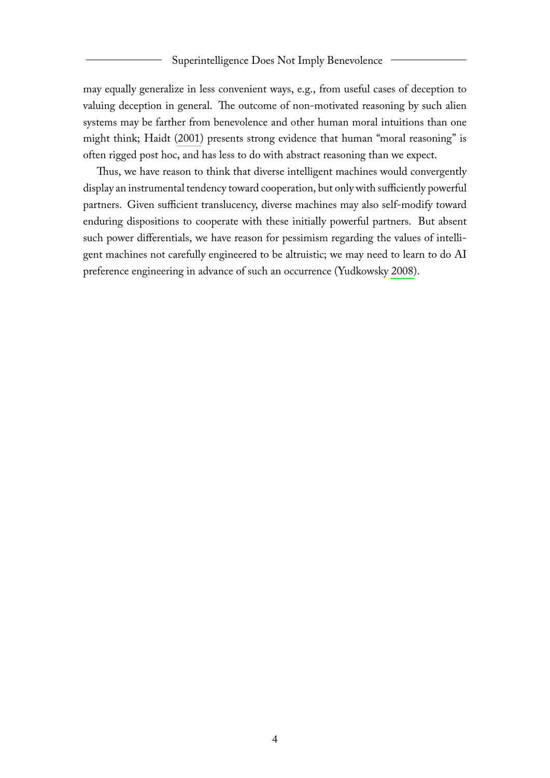may equally generalize in less convenient ways, e.g., from useful cases of deception to valuing deception in general. The outcome of non-motivated reasoning by such alien systems may be farther from benevolence and other human moral intuitions than one might think; Haidt [\(2001\)](#page-6-14) presents strong evidence that human "moral reasoning" is often rigged post hoc, and has less to do with abstract reasoning than we expect.

Thus, we have reason to think that diverse intelligent machines would convergently display an instrumental tendency toward cooperation, but only with sufficiently powerful partners. Given sufficient translucency, diverse machines may also self-modify toward enduring dispositions to cooperate with these initially powerful partners. But absent such power differentials, we have reason for pessimism regarding the values of intelligent machines not carefully engineered to be altruistic; we may need to learn to do AI preference engineering in advance of such an occurrence (Yudkowsky [2008\)](#page-6-9).